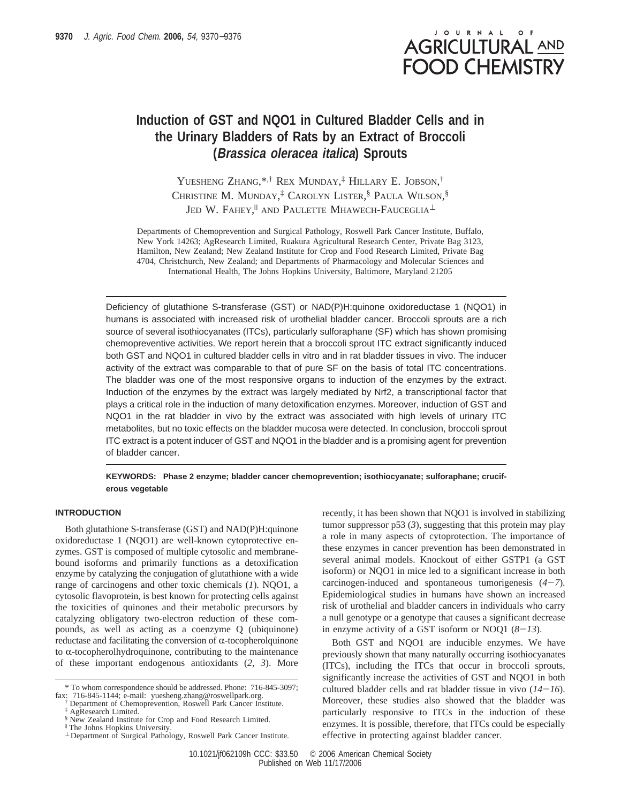# JOURNAL OF **AGRICULTURAL AND FOOD CHEMISTRY**

## **Induction of GST and NQO1 in Cultured Bladder Cells and in the Urinary Bladders of Rats by an Extract of Broccoli (Brassica oleracea italica) Sprouts**

YUESHENG ZHANG,\*,† REX MUNDAY, ‡ HILLARY E. JOBSON, † CHRISTINE M. MUNDAY, ‡ CAROLYN LISTER, § PAULA WILSON, § Jed W. Fahey,<sup>||</sup> and Paulette Mhawech-Fauceglia<sup> $\perp$ </sup>

Departments of Chemoprevention and Surgical Pathology, Roswell Park Cancer Institute, Buffalo, New York 14263; AgResearch Limited, Ruakura Agricultural Research Center, Private Bag 3123, Hamilton, New Zealand; New Zealand Institute for Crop and Food Research Limited, Private Bag 4704, Christchurch, New Zealand; and Departments of Pharmacology and Molecular Sciences and International Health, The Johns Hopkins University, Baltimore, Maryland 21205

Deficiency of glutathione S-transferase (GST) or NAD(P)H:quinone oxidoreductase 1 (NQO1) in humans is associated with increased risk of urothelial bladder cancer. Broccoli sprouts are a rich source of several isothiocyanates (ITCs), particularly sulforaphane (SF) which has shown promising chemopreventive activities. We report herein that a broccoli sprout ITC extract significantly induced both GST and NQO1 in cultured bladder cells in vitro and in rat bladder tissues in vivo. The inducer activity of the extract was comparable to that of pure SF on the basis of total ITC concentrations. The bladder was one of the most responsive organs to induction of the enzymes by the extract. Induction of the enzymes by the extract was largely mediated by Nrf2, a transcriptional factor that plays a critical role in the induction of many detoxification enzymes. Moreover, induction of GST and NQO1 in the rat bladder in vivo by the extract was associated with high levels of urinary ITC metabolites, but no toxic effects on the bladder mucosa were detected. In conclusion, broccoli sprout ITC extract is a potent inducer of GST and NQO1 in the bladder and is a promising agent for prevention of bladder cancer.

## **KEYWORDS: Phase 2 enzyme; bladder cancer chemoprevention; isothiocyanate; sulforaphane; cruciferous vegetable**

## **INTRODUCTION**

Both glutathione S-transferase (GST) and NAD(P)H:quinone oxidoreductase 1 (NQO1) are well-known cytoprotective enzymes. GST is composed of multiple cytosolic and membranebound isoforms and primarily functions as a detoxification enzyme by catalyzing the conjugation of glutathione with a wide range of carcinogens and other toxic chemicals (*1*). NQO1, a cytosolic flavoprotein, is best known for protecting cells against the toxicities of quinones and their metabolic precursors by catalyzing obligatory two-electron reduction of these compounds, as well as acting as a coenzyme Q (ubiquinone) reductase and facilitating the conversion of  $\alpha$ -tocopherolquinone to  $\alpha$ -tocopherolhydroquinone, contributing to the maintenance of these important endogenous antioxidants (*2*, *3*). More recently, it has been shown that NQO1 is involved in stabilizing tumor suppressor p53 (*3*), suggesting that this protein may play a role in many aspects of cytoprotection. The importance of these enzymes in cancer prevention has been demonstrated in several animal models. Knockout of either GSTP1 (a GST isoform) or NQO1 in mice led to a significant increase in both carcinogen-induced and spontaneous tumorigenesis (*4*-*7*). Epidemiological studies in humans have shown an increased risk of urothelial and bladder cancers in individuals who carry a null genotype or a genotype that causes a significant decrease in enzyme activity of a GST isoform or NOQ1 (*8*-*13*).

Both GST and NQO1 are inducible enzymes. We have previously shown that many naturally occurring isothiocyanates (ITCs), including the ITCs that occur in broccoli sprouts, significantly increase the activities of GST and NQO1 in both cultured bladder cells and rat bladder tissue in vivo  $(14-16)$ . Moreover, these studies also showed that the bladder was particularly responsive to ITCs in the induction of these enzymes. It is possible, therefore, that ITCs could be especially effective in protecting against bladder cancer.

<sup>\*</sup> To whom correspondence should be addressed. Phone: 716-845-3097; fax: 716-845-1144; e-mail: yuesheng.zhang@roswellpark.org.

<sup>†</sup> Department of Chemoprevention, Roswell Park Cancer Institute.

<sup>‡</sup> AgResearch Limited.

<sup>§</sup> New Zealand Institute for Crop and Food Research Limited.

<sup>|</sup> The Johns Hopkins University.

<sup>⊥</sup> Department of Surgical Pathology, Roswell Park Cancer Institute.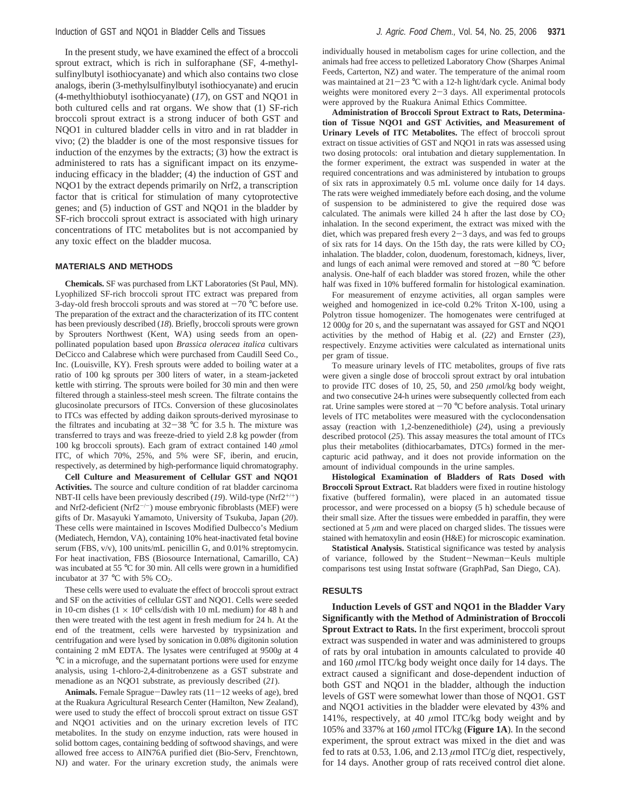In the present study, we have examined the effect of a broccoli sprout extract, which is rich in sulforaphane (SF, 4-methylsulfinylbutyl isothiocyanate) and which also contains two close analogs, iberin (3-methylsulfinylbutyl isothiocyanate) and erucin (4-methylthiobutyl isothiocyanate) (*17*), on GST and NQO1 in both cultured cells and rat organs. We show that (1) SF-rich broccoli sprout extract is a strong inducer of both GST and NQO1 in cultured bladder cells in vitro and in rat bladder in vivo; (2) the bladder is one of the most responsive tissues for induction of the enzymes by the extracts; (3) how the extract is administered to rats has a significant impact on its enzymeinducing efficacy in the bladder; (4) the induction of GST and NQO1 by the extract depends primarily on Nrf2, a transcription factor that is critical for stimulation of many cytoprotective genes; and (5) induction of GST and NQO1 in the bladder by SF-rich broccoli sprout extract is associated with high urinary concentrations of ITC metabolites but is not accompanied by any toxic effect on the bladder mucosa.

### **MATERIALS AND METHODS**

**Chemicals.** SF was purchased from LKT Laboratories (St Paul, MN). Lyophilized SF-rich broccoli sprout ITC extract was prepared from 3-day-old fresh broccoli sprouts and was stored at  $-70$  °C before use. The preparation of the extract and the characterization of its ITC content has been previously described (*18*). Briefly, broccoli sprouts were grown by Sprouters Northwest (Kent, WA) using seeds from an openpollinated population based upon *Brassica oleracea italica* cultivars DeCicco and Calabrese which were purchased from Caudill Seed Co., Inc. (Louisville, KY). Fresh sprouts were added to boiling water at a ratio of 100 kg sprouts per 300 liters of water, in a steam-jacketed kettle with stirring. The sprouts were boiled for 30 min and then were filtered through a stainless-steel mesh screen. The filtrate contains the glucosinolate precursors of ITCs. Conversion of these glucosinolates to ITCs was effected by adding daikon sprouts-derived myrosinase to the filtrates and incubating at  $32-38$  °C for 3.5 h. The mixture was transferred to trays and was freeze-dried to yield 2.8 kg powder (from 100 kg broccoli sprouts). Each gram of extract contained 140 *µ*mol ITC, of which 70%, 25%, and 5% were SF, iberin, and erucin, respectively, as determined by high-performance liquid chromatography.

**Cell Culture and Measurement of Cellular GST and NQO1 Activities.** The source and culture condition of rat bladder carcinoma NBT-II cells have been previously described  $(19)$ . Wild-type (Nrf2<sup>+/+</sup>) and Nrf2-deficient (Nrf2<sup>-/-</sup>) mouse embryonic fibroblasts (MEF) were gifts of Dr. Masayuki Yamamoto, University of Tsukuba, Japan (*20*). These cells were maintained in Iscoves Modified Dulbecco's Medium (Mediatech, Herndon, VA), containing 10% heat-inactivated fetal bovine serum (FBS,  $v/v$ ), 100 units/mL penicillin G, and 0.01% streptomycin. For heat inactivation, FBS (Biosource International, Camarillo, CA) was incubated at 55 °C for 30 min. All cells were grown in a humidified incubator at 37  $\mathrm{^{\circ}C}$  with 5% CO<sub>2</sub>.

These cells were used to evaluate the effect of broccoli sprout extract and SF on the activities of cellular GST and NQO1. Cells were seeded in 10-cm dishes  $(1 \times 10^6 \text{ cells/dish with } 10 \text{ mL medium})$  for 48 h and then were treated with the test agent in fresh medium for 24 h. At the end of the treatment, cells were harvested by trypsinization and centrifugation and were lysed by sonication in 0.08% digitonin solution containing 2 mM EDTA. The lysates were centrifuged at 9500*g* at 4 °C in a microfuge, and the supernatant portions were used for enzyme analysis, using 1-chloro-2,4-dinitrobenzene as a GST substrate and menadione as an NQO1 substrate, as previously described (*21*).

Animals. Female Sprague-Dawley rats (11-12 weeks of age), bred at the Ruakura Agricultural Research Center (Hamilton, New Zealand), were used to study the effect of broccoli sprout extract on tissue GST and NQO1 activities and on the urinary excretion levels of ITC metabolites. In the study on enzyme induction, rats were housed in solid bottom cages, containing bedding of softwood shavings, and were allowed free access to AIN76A purified diet (Bio-Serv, Frenchtown, NJ) and water. For the urinary excretion study, the animals were

individually housed in metabolism cages for urine collection, and the animals had free access to pelletized Laboratory Chow (Sharpes Animal Feeds, Carterton, NZ) and water. The temperature of the animal room was maintained at  $21-23$  °C with a 12-h light/dark cycle. Animal body weights were monitored every 2-3 days. All experimental protocols were approved by the Ruakura Animal Ethics Committee.

**Administration of Broccoli Sprout Extract to Rats, Determination of Tissue NQO1 and GST Activities, and Measurement of Urinary Levels of ITC Metabolites.** The effect of broccoli sprout extract on tissue activities of GST and NQO1 in rats was assessed using two dosing protocols: oral intubation and dietary supplementation. In the former experiment, the extract was suspended in water at the required concentrations and was administered by intubation to groups of six rats in approximately 0.5 mL volume once daily for 14 days. The rats were weighed immediately before each dosing, and the volume of suspension to be administered to give the required dose was calculated. The animals were killed 24 h after the last dose by  $CO<sub>2</sub>$ inhalation. In the second experiment, the extract was mixed with the diet, which was prepared fresh every  $2-3$  days, and was fed to groups of six rats for 14 days. On the 15th day, the rats were killed by  $CO<sub>2</sub>$ inhalation. The bladder, colon, duodenum, forestomach, kidneys, liver, and lungs of each animal were removed and stored at  $-80$  °C before analysis. One-half of each bladder was stored frozen, while the other half was fixed in 10% buffered formalin for histological examination.

For measurement of enzyme activities, all organ samples were weighed and homogenized in ice-cold 0.2% Triton X-100, using a Polytron tissue homogenizer. The homogenates were centrifuged at 12 000*g* for 20 s, and the supernatant was assayed for GST and NQO1 activities by the method of Habig et al. (*22*) and Ernster (*23*), respectively. Enzyme activities were calculated as international units per gram of tissue.

To measure urinary levels of ITC metabolites, groups of five rats were given a single dose of broccoli sprout extract by oral intubation to provide ITC doses of 10, 25, 50, and 250  $\mu$ mol/kg body weight, and two consecutive 24-h urines were subsequently collected from each rat. Urine samples were stored at  $-70$  °C before analysis. Total urinary levels of ITC metabolites were measured with the cyclocondensation assay (reaction with 1,2-benzenedithiole) (*24*), using a previously described protocol (*25*). This assay measures the total amount of ITCs plus their metabolites (dithiocarbamates, DTCs) formed in the mercapturic acid pathway, and it does not provide information on the amount of individual compounds in the urine samples.

**Histological Examination of Bladders of Rats Dosed with Broccoli Sprout Extract.** Rat bladders were fixed in routine histology fixative (buffered formalin), were placed in an automated tissue processor, and were processed on a biopsy (5 h) schedule because of their small size. After the tissues were embedded in paraffin, they were sectioned at  $5 \mu m$  and were placed on charged slides. The tissues were stained with hematoxylin and eosin (H&E) for microscopic examination.

**Statistical Analysis.** Statistical significance was tested by analysis of variance, followed by the Student-Newman-Keuls multiple comparisons test using Instat software (GraphPad, San Diego, CA).

#### **RESULTS**

**Induction Levels of GST and NQO1 in the Bladder Vary Significantly with the Method of Administration of Broccoli Sprout Extract to Rats.** In the first experiment, broccoli sprout extract was suspended in water and was administered to groups of rats by oral intubation in amounts calculated to provide 40 and 160 *µ*mol ITC/kg body weight once daily for 14 days. The extract caused a significant and dose-dependent induction of both GST and NQO1 in the bladder, although the induction levels of GST were somewhat lower than those of NQO1. GST and NQO1 activities in the bladder were elevated by 43% and 141%, respectively, at 40 *µ*mol ITC/kg body weight and by 105% and 337% at 160 *µ*mol ITC/kg (**Figure 1A**). In the second experiment, the sprout extract was mixed in the diet and was fed to rats at 0.53, 1.06, and 2.13  $\mu$ mol ITC/g diet, respectively, for 14 days. Another group of rats received control diet alone.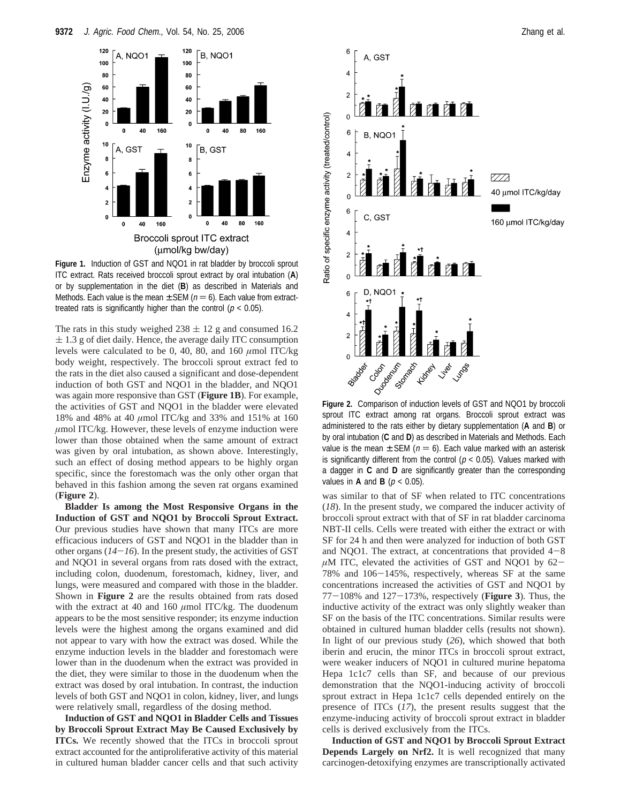

**Figure 1.** Induction of GST and NQO1 in rat bladder by broccoli sprout ITC extract. Rats received broccoli sprout extract by oral intubation (**A**) or by supplementation in the diet (**B**) as described in Materials and Methods. Each value is the mean  $\pm$  SEM ( $n = 6$ ). Each value from extracttreated rats is significantly higher than the control ( $p < 0.05$ ).

The rats in this study weighed  $238 \pm 12$  g and consumed 16.2  $\pm$  1.3 g of diet daily. Hence, the average daily ITC consumption levels were calculated to be 0, 40, 80, and 160 *µ*mol ITC/kg body weight, respectively. The broccoli sprout extract fed to the rats in the diet also caused a significant and dose-dependent induction of both GST and NQO1 in the bladder, and NQO1 was again more responsive than GST (**Figure 1B**). For example, the activities of GST and NQO1 in the bladder were elevated 18% and 48% at 40 *µ*mol ITC/kg and 33% and 151% at 160 *µ*mol ITC/kg. However, these levels of enzyme induction were lower than those obtained when the same amount of extract was given by oral intubation, as shown above. Interestingly, such an effect of dosing method appears to be highly organ specific, since the forestomach was the only other organ that behaved in this fashion among the seven rat organs examined (**Figure 2**).

**Bladder Is among the Most Responsive Organs in the Induction of GST and NQO1 by Broccoli Sprout Extract.** Our previous studies have shown that many ITCs are more efficacious inducers of GST and NQO1 in the bladder than in other organs  $(14-16)$ . In the present study, the activities of GST and NQO1 in several organs from rats dosed with the extract, including colon, duodenum, forestomach, kidney, liver, and lungs, were measured and compared with those in the bladder. Shown in **Figure 2** are the results obtained from rats dosed with the extract at 40 and 160  $\mu$ mol ITC/kg. The duodenum appears to be the most sensitive responder; its enzyme induction levels were the highest among the organs examined and did not appear to vary with how the extract was dosed. While the enzyme induction levels in the bladder and forestomach were lower than in the duodenum when the extract was provided in the diet, they were similar to those in the duodenum when the extract was dosed by oral intubation. In contrast, the induction levels of both GST and NQO1 in colon, kidney, liver, and lungs were relatively small, regardless of the dosing method.

**Induction of GST and NQO1 in Bladder Cells and Tissues by Broccoli Sprout Extract May Be Caused Exclusively by ITCs.** We recently showed that the ITCs in broccoli sprout extract accounted for the antiproliferative activity of this material in cultured human bladder cancer cells and that such activity



**Figure 2.** Comparison of induction levels of GST and NQO1 by broccoli sprout ITC extract among rat organs. Broccoli sprout extract was administered to the rats either by dietary supplementation (**A** and **B**) or by oral intubation (**C** and **D**) as described in Materials and Methods. Each value is the mean  $\pm$  SEM ( $n = 6$ ). Each value marked with an asterisk is significantly different from the control ( $p < 0.05$ ). Values marked with a dagger in **C** and **D** are significantly greater than the corresponding values in **A** and **B** ( $p < 0.05$ ).

was similar to that of SF when related to ITC concentrations (*18*). In the present study, we compared the inducer activity of broccoli sprout extract with that of SF in rat bladder carcinoma NBT-II cells. Cells were treated with either the extract or with SF for 24 h and then were analyzed for induction of both GST and NQO1. The extract, at concentrations that provided  $4-8$  $\mu$ M ITC, elevated the activities of GST and NQO1 by 62-78% and 106-145%, respectively, whereas SF at the same concentrations increased the activities of GST and NQO1 by <sup>77</sup>-108% and 127-173%, respectively (**Figure 3**). Thus, the inductive activity of the extract was only slightly weaker than SF on the basis of the ITC concentrations. Similar results were obtained in cultured human bladder cells (results not shown). In light of our previous study (*26*), which showed that both iberin and erucin, the minor ITCs in broccoli sprout extract, were weaker inducers of NQO1 in cultured murine hepatoma Hepa 1c1c7 cells than SF, and because of our previous demonstration that the NQO1-inducing activity of broccoli sprout extract in Hepa 1c1c7 cells depended entirely on the presence of ITCs (*17*), the present results suggest that the enzyme-inducing activity of broccoli sprout extract in bladder cells is derived exclusively from the ITCs.

**Induction of GST and NQO1 by Broccoli Sprout Extract Depends Largely on Nrf2.** It is well recognized that many carcinogen-detoxifying enzymes are transcriptionally activated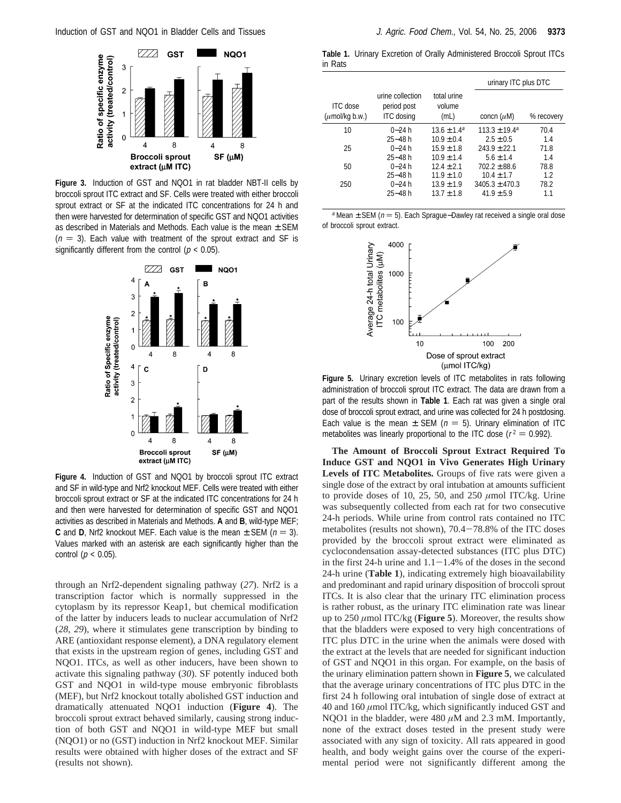

**Figure 3.** Induction of GST and NQO1 in rat bladder NBT-II cells by broccoli sprout ITC extract and SF. Cells were treated with either broccoli sprout extract or SF at the indicated ITC concentrations for 24 h and then were harvested for determination of specific GST and NQO1 activities as described in Materials and Methods. Each value is the mean  $\pm$  SEM  $(n = 3)$ . Each value with treatment of the sprout extract and SF is significantly different from the control ( $p < 0.05$ ).



**Figure 4.** Induction of GST and NQO1 by broccoli sprout ITC extract and SF in wild-type and Nrf2 knockout MEF. Cells were treated with either broccoli sprout extract or SF at the indicated ITC concentrations for 24 h and then were harvested for determination of specific GST and NQO1 activities as described in Materials and Methods. **A** and **B**, wild-type MEF; **C** and **D**, Nrf2 knockout MEF. Each value is the mean  $\pm$  SEM ( $n = 3$ ). Values marked with an asterisk are each significantly higher than the control ( $p < 0.05$ ).

through an Nrf2-dependent signaling pathway (*27*). Nrf2 is a transcription factor which is normally suppressed in the cytoplasm by its repressor Keap1, but chemical modification of the latter by inducers leads to nuclear accumulation of Nrf2 (*28*, *29*), where it stimulates gene transcription by binding to ARE (antioxidant response element), a DNA regulatory element that exists in the upstream region of genes, including GST and NQO1. ITCs, as well as other inducers, have been shown to activate this signaling pathway (*30*). SF potently induced both GST and NQO1 in wild-type mouse embryonic fibroblasts (MEF), but Nrf2 knockout totally abolished GST induction and dramatically attenuated NQO1 induction (**Figure 4**). The broccoli sprout extract behaved similarly, causing strong induction of both GST and NQO1 in wild-type MEF but small (NQO1) or no (GST) induction in Nrf2 knockout MEF. Similar results were obtained with higher doses of the extract and SF (results not shown).

**Table 1.** Urinary Excretion of Orally Administered Broccoli Sprout ITCs in Rats

|                                        |                                                      |                               |                    | urinary ITC plus DTC |  |
|----------------------------------------|------------------------------------------------------|-------------------------------|--------------------|----------------------|--|
| <b>ITC</b> dose<br>$(\mu$ mol/kg b.w.) | urine collection<br>period post<br><b>ITC</b> dosing | total urine<br>volume<br>(mL) | concn $(\mu M)$    | % recovery           |  |
| 10                                     | $0 - 24 h$                                           | $13.6 \pm 1.4^a$              | $113.3 \pm 19.4^a$ | 70.4                 |  |
|                                        | $25 - 48$ h                                          | $10.9 \pm 0.4$                | $2.5 \pm 0.5$      | 1.4                  |  |
| 25                                     | $0 - 24 h$                                           | $15.9 \pm 1.8$                | $243.9 \pm 22.1$   | 71.8                 |  |
|                                        | $25 - 48$ h                                          | $10.9 \pm 1.4$                | $5.6 \pm 1.4$      | 1.4                  |  |
| 50                                     | $0 - 24 h$                                           | $12.4 \pm 2.1$                | $702.2 \pm 88.6$   | 78.8                 |  |
|                                        | $25 - 48$ h                                          | $11.9 \pm 1.0$                | $10.4 \pm 1.7$     | 1.2                  |  |
| 250                                    | $0 - 24 h$                                           | $13.9 \pm 1.9$                | $3405.3 \pm 470.3$ | 78.2                 |  |
|                                        | $25 - 48$ h                                          | $13.7 \pm 1.8$                | $41.9 \pm 5.9$     | 1.1                  |  |
|                                        |                                                      |                               |                    |                      |  |

a Mean  $±$  SEM ( $n = 5$ ). Each Sprague–Dawley rat received a single oral dose of broccoli sprout extract.



**Figure 5.** Urinary excretion levels of ITC metabolites in rats following administration of broccoli sprout ITC extract. The data are drawn from a part of the results shown in **Table 1**. Each rat was given a single oral dose of broccoli sprout extract, and urine was collected for 24 h postdosing. Each value is the mean  $\pm$  SEM ( $n = 5$ ). Urinary elimination of ITC metabolites was linearly proportional to the ITC dose ( $r^2 = 0.992$ ).

**The Amount of Broccoli Sprout Extract Required To Induce GST and NQO1 in Vivo Generates High Urinary Levels of ITC Metabolites.** Groups of five rats were given a single dose of the extract by oral intubation at amounts sufficient to provide doses of 10, 25, 50, and 250 *µ*mol ITC/kg. Urine was subsequently collected from each rat for two consecutive 24-h periods. While urine from control rats contained no ITC metabolites (results not shown), 70.4-78.8% of the ITC doses provided by the broccoli sprout extract were eliminated as cyclocondensation assay-detected substances (ITC plus DTC) in the first 24-h urine and  $1.1-1.4%$  of the doses in the second 24-h urine (**Table 1**), indicating extremely high bioavailability and predominant and rapid urinary disposition of broccoli sprout ITCs. It is also clear that the urinary ITC elimination process is rather robust, as the urinary ITC elimination rate was linear up to 250 *µ*mol ITC/kg (**Figure 5**). Moreover, the results show that the bladders were exposed to very high concentrations of ITC plus DTC in the urine when the animals were dosed with the extract at the levels that are needed for significant induction of GST and NQO1 in this organ. For example, on the basis of the urinary elimination pattern shown in **Figure 5**, we calculated that the average urinary concentrations of ITC plus DTC in the first 24 h following oral intubation of single dose of extract at 40 and 160 *µ*mol ITC/kg, which significantly induced GST and NQO1 in the bladder, were 480 *µ*M and 2.3 mM. Importantly, none of the extract doses tested in the present study were associated with any sign of toxicity. All rats appeared in good health, and body weight gains over the course of the experimental period were not significantly different among the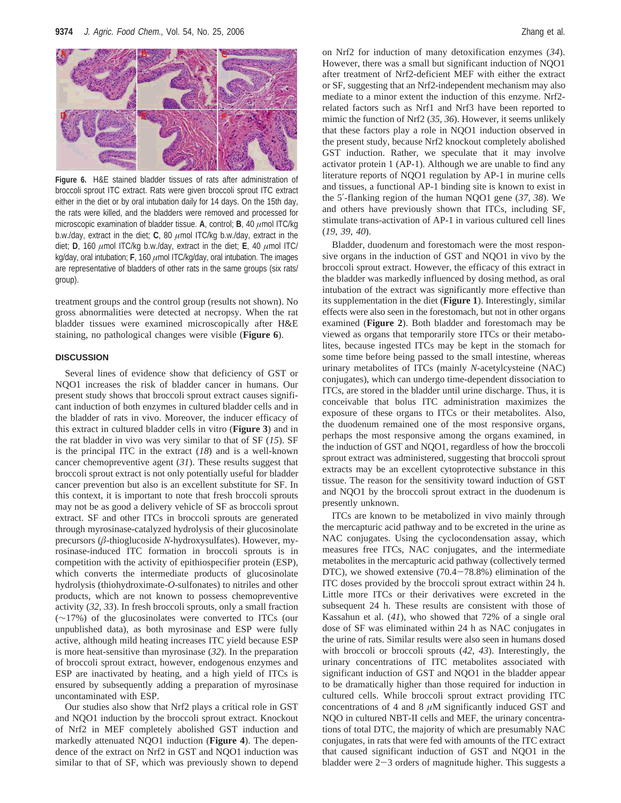

**Figure 6.** H&E stained bladder tissues of rats after administration of broccoli sprout ITC extract. Rats were given broccoli sprout ITC extract either in the diet or by oral intubation daily for 14 days. On the 15th day, the rats were killed, and the bladders were removed and processed for microscopic examination of bladder tissue. **A**, control; **B**, 40 *µ*mol ITC/kg b.w./day, extract in the diet; **C**, 80 *µ*mol ITC/kg b.w./day, extract in the diet; **D**, 160 *µ*mol ITC/kg b.w./day, extract in the diet; **E**, 40 *µ*mol ITC/ kg/day, oral intubation; **F**, 160 *µ*mol ITC/kg/day, oral intubation. The images are representative of bladders of other rats in the same groups (six rats/ group).

treatment groups and the control group (results not shown). No gross abnormalities were detected at necropsy. When the rat bladder tissues were examined microscopically after H&E staining, no pathological changes were visible (**Figure 6**).

## **DISCUSSION**

Several lines of evidence show that deficiency of GST or NQO1 increases the risk of bladder cancer in humans. Our present study shows that broccoli sprout extract causes significant induction of both enzymes in cultured bladder cells and in the bladder of rats in vivo. Moreover, the inducer efficacy of this extract in cultured bladder cells in vitro (**Figure 3**) and in the rat bladder in vivo was very similar to that of SF (*15*). SF is the principal ITC in the extract (*18*) and is a well-known cancer chemopreventive agent (*31*). These results suggest that broccoli sprout extract is not only potentially useful for bladder cancer prevention but also is an excellent substitute for SF. In this context, it is important to note that fresh broccoli sprouts may not be as good a delivery vehicle of SF as broccoli sprout extract. SF and other ITCs in broccoli sprouts are generated through myrosinase-catalyzed hydrolysis of their glucosinolate precursors (*â*-thioglucoside *N*-hydroxysulfates). However, myrosinase-induced ITC formation in broccoli sprouts is in competition with the activity of epithiospecifier protein (ESP), which converts the intermediate products of glucosinolate hydrolysis (thiohydroximate-*O*-sulfonates) to nitriles and other products, which are not known to possess chemopreventive activity (*32*, *33*). In fresh broccoli sprouts, only a small fraction (∼17%) of the glucosinolates were converted to ITCs (our unpublished data), as both myrosinase and ESP were fully active, although mild heating increases ITC yield because ESP is more heat-sensitive than myrosinase (*32*). In the preparation of broccoli sprout extract, however, endogenous enzymes and ESP are inactivated by heating, and a high yield of ITCs is ensured by subsequently adding a preparation of myrosinase uncontaminated with ESP.

Our studies also show that Nrf2 plays a critical role in GST and NQO1 induction by the broccoli sprout extract. Knockout of Nrf2 in MEF completely abolished GST induction and markedly attenuated NQO1 induction (**Figure 4**). The dependence of the extract on Nrf2 in GST and NQO1 induction was similar to that of SF, which was previously shown to depend

on Nrf2 for induction of many detoxification enzymes (*34*). However, there was a small but significant induction of NQO1 after treatment of Nrf2-deficient MEF with either the extract or SF, suggesting that an Nrf2-independent mechanism may also mediate to a minor extent the induction of this enzyme. Nrf2 related factors such as Nrf1 and Nrf3 have been reported to mimic the function of Nrf2 (*35*, *36*). However, it seems unlikely that these factors play a role in NQO1 induction observed in the present study, because Nrf2 knockout completely abolished GST induction. Rather, we speculate that it may involve activator protein 1 (AP-1). Although we are unable to find any literature reports of NQO1 regulation by AP-1 in murine cells and tissues, a functional AP-1 binding site is known to exist in the 5′-flanking region of the human NQO1 gene (*37*, *38*). We and others have previously shown that ITCs, including SF, stimulate trans-activation of AP-1 in various cultured cell lines (*19*, *39*, *40*).

Bladder, duodenum and forestomach were the most responsive organs in the induction of GST and NQO1 in vivo by the broccoli sprout extract. However, the efficacy of this extract in the bladder was markedly influenced by dosing method, as oral intubation of the extract was significantly more effective than its supplementation in the diet (**Figure 1**). Interestingly, similar effects were also seen in the forestomach, but not in other organs examined (**Figure 2**). Both bladder and forestomach may be viewed as organs that temporarily store ITCs or their metabolites, because ingested ITCs may be kept in the stomach for some time before being passed to the small intestine, whereas urinary metabolites of ITCs (mainly *N*-acetylcysteine (NAC) conjugates), which can undergo time-dependent dissociation to ITCs, are stored in the bladder until urine discharge. Thus, it is conceivable that bolus ITC administration maximizes the exposure of these organs to ITCs or their metabolites. Also, the duodenum remained one of the most responsive organs, perhaps the most responsive among the organs examined, in the induction of GST and NQO1, regardless of how the broccoli sprout extract was administered, suggesting that broccoli sprout extracts may be an excellent cytoprotective substance in this tissue. The reason for the sensitivity toward induction of GST and NQO1 by the broccoli sprout extract in the duodenum is presently unknown.

ITCs are known to be metabolized in vivo mainly through the mercapturic acid pathway and to be excreted in the urine as NAC conjugates. Using the cyclocondensation assay, which measures free ITCs, NAC conjugates, and the intermediate metabolites in the mercapturic acid pathway (collectively termed DTC), we showed extensive  $(70.4 - 78.8%)$  elimination of the ITC doses provided by the broccoli sprout extract within 24 h. Little more ITCs or their derivatives were excreted in the subsequent 24 h. These results are consistent with those of Kassahun et al. (*41*), who showed that 72% of a single oral dose of SF was eliminated within 24 h as NAC conjugates in the urine of rats. Similar results were also seen in humans dosed with broccoli or broccoli sprouts (*42*, *43*). Interestingly, the urinary concentrations of ITC metabolites associated with significant induction of GST and NQO1 in the bladder appear to be dramatically higher than those required for induction in cultured cells. While broccoli sprout extract providing ITC concentrations of 4 and 8 *µ*M significantly induced GST and NQO in cultured NBT-II cells and MEF, the urinary concentrations of total DTC, the majority of which are presumably NAC conjugates, in rats that were fed with amounts of the ITC extract that caused significant induction of GST and NQO1 in the bladder were  $2-3$  orders of magnitude higher. This suggests a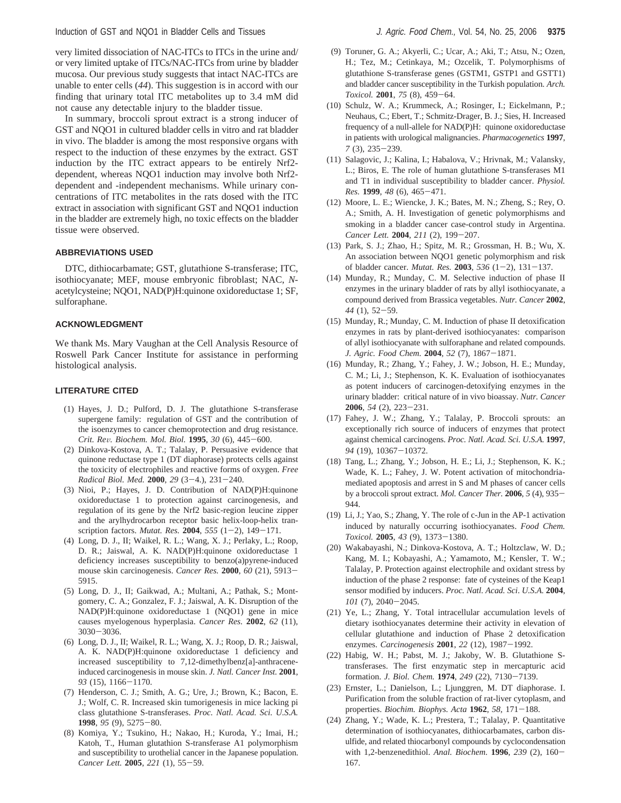very limited dissociation of NAC-ITCs to ITCs in the urine and/ or very limited uptake of ITCs/NAC-ITCs from urine by bladder mucosa. Our previous study suggests that intact NAC-ITCs are unable to enter cells (*44*). This suggestion is in accord with our finding that urinary total ITC metabolites up to 3.4 mM did not cause any detectable injury to the bladder tissue.

In summary, broccoli sprout extract is a strong inducer of GST and NQO1 in cultured bladder cells in vitro and rat bladder in vivo. The bladder is among the most responsive organs with respect to the induction of these enzymes by the extract. GST induction by the ITC extract appears to be entirely Nrf2 dependent, whereas NQO1 induction may involve both Nrf2 dependent and -independent mechanisms. While urinary concentrations of ITC metabolites in the rats dosed with the ITC extract in association with significant GST and NQO1 induction in the bladder are extremely high, no toxic effects on the bladder tissue were observed.

## **ABBREVIATIONS USED**

DTC, dithiocarbamate; GST, glutathione S-transferase; ITC, isothiocyanate; MEF, mouse embryonic fibroblast; NAC, *N*acetylcysteine; NQO1, NAD(P)H:quinone oxidoreductase 1; SF, sulforaphane.

## **ACKNOWLEDGMENT**

We thank Ms. Mary Vaughan at the Cell Analysis Resource of Roswell Park Cancer Institute for assistance in performing histological analysis.

## **LITERATURE CITED**

- (1) Hayes, J. D.; Pulford, D. J. The glutathione S-transferase supergene family: regulation of GST and the contribution of the isoenzymes to cancer chemoprotection and drug resistance. *Crit. Re*V*. Biochem. Mol. Biol.* **<sup>1995</sup>**, *<sup>30</sup>* (6), 445-600.
- (2) Dinkova-Kostova, A. T.; Talalay, P. Persuasive evidence that quinone reductase type 1 (DT diaphorase) protects cells against the toxicity of electrophiles and reactive forms of oxygen. *Free Radical Biol. Med.* **<sup>2000</sup>**, *<sup>29</sup>* (3-4.), 231-240.
- (3) Nioi, P.; Hayes, J. D. Contribution of NAD(P)H:quinone oxidoreductase 1 to protection against carcinogenesis, and regulation of its gene by the Nrf2 basic-region leucine zipper and the arylhydrocarbon receptor basic helix-loop-helix transcription factors. *Mutat. Res.* **<sup>2004</sup>**, *<sup>555</sup>* (1-2), 149-171.
- (4) Long, D. J., II; Waikel, R. L.; Wang, X. J.; Perlaky, L.; Roop, D. R.; Jaiswal, A. K. NAD(P)H:quinone oxidoreductase 1 deficiency increases susceptibility to benzo(a)pyrene-induced mouse skin carcinogenesis. *Cancer Res.* **<sup>2000</sup>**, *<sup>60</sup>* (21), 5913- 5915.
- (5) Long, D. J., II; Gaikwad, A.; Multani, A.; Pathak, S.; Montgomery, C. A.; Gonzalez, F. J.; Jaiswal, A. K. Disruption of the NAD(P)H:quinone oxidoreductase 1 (NQO1) gene in mice causes myelogenous hyperplasia. *Cancer Res.* **2002**, *62* (11), <sup>3030</sup>-3036.
- (6) Long, D. J., II; Waikel, R. L.; Wang, X. J.; Roop, D. R.; Jaiswal, A. K. NAD(P)H:quinone oxidoreductase 1 deficiency and increased susceptibility to 7,12-dimethylbenz[a]-anthraceneinduced carcinogenesis in mouse skin. *J. Natl. Cancer Inst.* **2001**, *<sup>93</sup>* (15), 1166-1170.
- (7) Henderson, C. J.; Smith, A. G.; Ure, J.; Brown, K.; Bacon, E. J.; Wolf, C. R. Increased skin tumorigenesis in mice lacking pi class glutathione S-transferases. *Proc. Natl. Acad. Sci. U.S.A.* **<sup>1998</sup>**, *<sup>95</sup>* (9), 5275-80.
- (8) Komiya, Y.; Tsukino, H.; Nakao, H.; Kuroda, Y.; Imai, H.; Katoh, T., Human glutathion S-transferase A1 polymorphism and susceptibility to urothelial cancer in the Japanese population. *Cancer Lett.* **<sup>2005</sup>**, *<sup>221</sup>* (1), 55-59.
- (9) Toruner, G. A.; Akyerli, C.; Ucar, A.; Aki, T.; Atsu, N.; Ozen, H.; Tez, M.; Cetinkaya, M.; Ozcelik, T. Polymorphisms of glutathione S-transferase genes (GSTM1, GSTP1 and GSTT1) and bladder cancer susceptibility in the Turkish population. *Arch. Toxicol.* **<sup>2001</sup>**, *<sup>75</sup>* (8), 459-64.
- (10) Schulz, W. A.; Krummeck, A.; Rosinger, I.; Eickelmann, P.; Neuhaus, C.; Ebert, T.; Schmitz-Drager, B. J.; Sies, H. Increased frequency of a null-allele for NAD(P)H: quinone oxidoreductase in patients with urological malignancies. *Pharmacogenetics* **1997**, *<sup>7</sup>* (3), 235-239.
- (11) Salagovic, J.; Kalina, I.; Habalova, V.; Hrivnak, M.; Valansky, L.; Biros, E. The role of human glutathione S-transferases M1 and T1 in individual susceptibility to bladder cancer. *Physiol. Res.* **<sup>1999</sup>**, *<sup>48</sup>* (6), 465-471.
- (12) Moore, L. E.; Wiencke, J. K.; Bates, M. N.; Zheng, S.; Rey, O. A.; Smith, A. H. Investigation of genetic polymorphisms and smoking in a bladder cancer case-control study in Argentina. *Cancer Lett.* **<sup>2004</sup>**, *<sup>211</sup>* (2), 199-207.
- (13) Park, S. J.; Zhao, H.; Spitz, M. R.; Grossman, H. B.; Wu, X. An association between NQO1 genetic polymorphism and risk of bladder cancer. *Mutat. Res.* **<sup>2003</sup>**, *<sup>536</sup>* (1-2), 131-137.
- (14) Munday, R.; Munday, C. M. Selective induction of phase II enzymes in the urinary bladder of rats by allyl isothiocyanate, a compound derived from Brassica vegetables. *Nutr. Cancer* **2002**, *<sup>44</sup>* (1), 52-59.
- (15) Munday, R.; Munday, C. M. Induction of phase II detoxification enzymes in rats by plant-derived isothiocyanates: comparison of allyl isothiocyanate with sulforaphane and related compounds. *J. Agric. Food Chem.* **<sup>2004</sup>**, *<sup>52</sup>* (7), 1867-1871.
- (16) Munday, R.; Zhang, Y.; Fahey, J. W.; Jobson, H. E.; Munday, C. M.; Li, J.; Stephenson, K. K. Evaluation of isothiocyanates as potent inducers of carcinogen-detoxifying enzymes in the urinary bladder: critical nature of in vivo bioassay. *Nutr. Cancer* **<sup>2006</sup>**, *<sup>54</sup>* (2), 223-231.
- (17) Fahey, J. W.; Zhang, Y.; Talalay, P. Broccoli sprouts: an exceptionally rich source of inducers of enzymes that protect against chemical carcinogens. *Proc. Natl. Acad. Sci. U.S.A.* **1997**, *<sup>94</sup>* (19), 10367-10372.
- (18) Tang, L.; Zhang, Y.; Jobson, H. E.; Li, J.; Stephenson, K. K.; Wade, K. L.; Fahey, J. W. Potent activation of mitochondriamediated apoptosis and arrest in S and M phases of cancer cells by a broccoli sprout extract. *Mol. Cancer Ther.* **<sup>2006</sup>**, *<sup>5</sup>* (4), 935- 944.
- (19) Li, J.; Yao, S.; Zhang, Y. The role of c-Jun in the AP-1 activation induced by naturally occurring isothiocyanates. *Food Chem. Toxicol.* **<sup>2005</sup>**, *<sup>43</sup>* (9), 1373-1380.
- (20) Wakabayashi, N.; Dinkova-Kostova, A. T.; Holtzclaw, W. D.; Kang, M. I.; Kobayashi, A.; Yamamoto, M.; Kensler, T. W.; Talalay, P. Protection against electrophile and oxidant stress by induction of the phase 2 response: fate of cysteines of the Keap1 sensor modified by inducers. *Proc. Natl. Acad. Sci*. *U.S.A.* **2004**, *<sup>101</sup>* (7), 2040-2045.
- (21) Ye, L.; Zhang, Y. Total intracellular accumulation levels of dietary isothiocyanates determine their activity in elevation of cellular glutathione and induction of Phase 2 detoxification enzymes. *Carcinogenesis* **<sup>2001</sup>**, *<sup>22</sup>* (12), 1987-1992.
- (22) Habig, W. H.; Pabst, M. J.; Jakoby, W. B. Glutathione Stransferases. The first enzymatic step in mercapturic acid formation. *J. Biol. Chem.* **<sup>1974</sup>**, *<sup>249</sup>* (22), 7130-7139.
- (23) Ernster, L.; Danielson, L.; Ljunggren, M. DT diaphorase. I. Purification from the soluble fraction of rat-liver cytoplasm, and properties. *Biochim. Biophys. Acta* **<sup>1962</sup>**, *<sup>58</sup>*, 171-188.
- (24) Zhang, Y.; Wade, K. L.; Prestera, T.; Talalay, P. Quantitative determination of isothiocyanates, dithiocarbamates, carbon disulfide, and related thiocarbonyl compounds by cyclocondensation with 1,2-benzenedithiol. *Anal. Biochem.* **<sup>1996</sup>**, *<sup>239</sup>* (2), 160- 167.